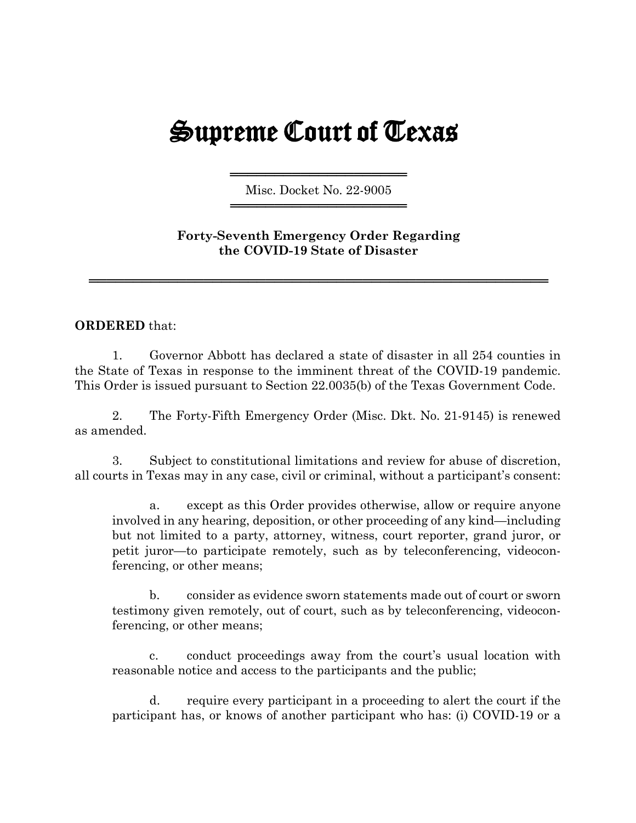## Supreme Court of Texas

═════════════════════════════════════ Misc. Docket No. 22-9005 ═════════════════════════════════════

**Forty-Seventh Emergency Order Regarding the COVID-19 State of Disaster**

════════════════════════════════════════════════════

## **ORDERED** that:

1. Governor Abbott has declared a state of disaster in all 254 counties in the State of Texas in response to the imminent threat of the COVID-19 pandemic. This Order is issued pursuant to Section 22.0035(b) of the Texas Government Code.

2. The Forty-Fifth Emergency Order (Misc. Dkt. No. 21-9145) is renewed as amended.

3. Subject to constitutional limitations and review for abuse of discretion, all courts in Texas may in any case, civil or criminal, without a participant's consent:

a. except as this Order provides otherwise, allow or require anyone involved in any hearing, deposition, or other proceeding of any kind—including but not limited to a party, attorney, witness, court reporter, grand juror, or petit juror—to participate remotely, such as by teleconferencing, videoconferencing, or other means;

b. consider as evidence sworn statements made out of court or sworn testimony given remotely, out of court, such as by teleconferencing, videoconferencing, or other means;

c. conduct proceedings away from the court's usual location with reasonable notice and access to the participants and the public;

d. require every participant in a proceeding to alert the court if the participant has, or knows of another participant who has: (i) COVID-19 or a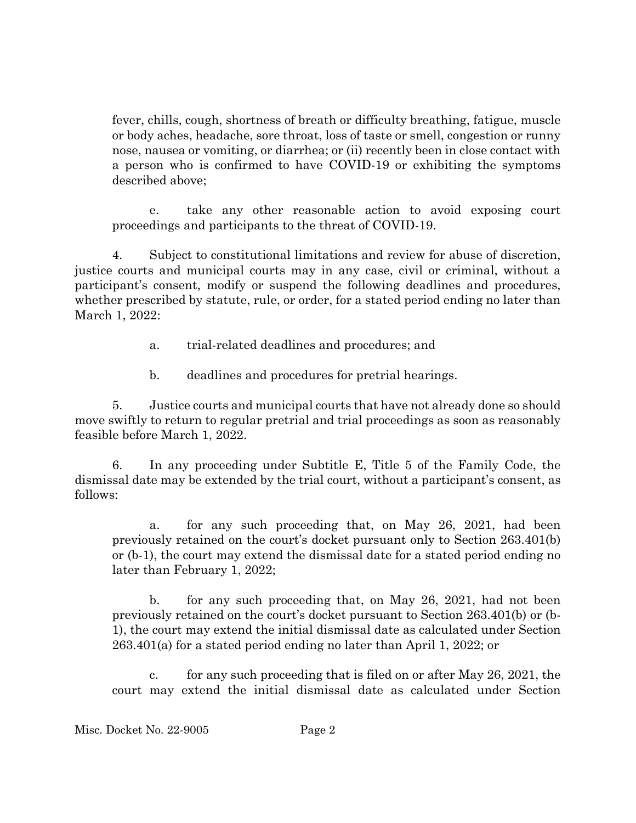fever, chills, cough, shortness of breath or difficulty breathing, fatigue, muscle or body aches, headache, sore throat, loss of taste or smell, congestion or runny nose, nausea or vomiting, or diarrhea; or (ii) recently been in close contact with a person who is confirmed to have COVID-19 or exhibiting the symptoms described above;

e. take any other reasonable action to avoid exposing court proceedings and participants to the threat of COVID-19.

4. Subject to constitutional limitations and review for abuse of discretion, justice courts and municipal courts may in any case, civil or criminal, without a participant's consent, modify or suspend the following deadlines and procedures, whether prescribed by statute, rule, or order, for a stated period ending no later than March 1, 2022:

- a. trial-related deadlines and procedures; and
- b. deadlines and procedures for pretrial hearings.

5. Justice courts and municipal courts that have not already done so should move swiftly to return to regular pretrial and trial proceedings as soon as reasonably feasible before March 1, 2022.

6. In any proceeding under Subtitle E, Title 5 of the Family Code, the dismissal date may be extended by the trial court, without a participant's consent, as follows:

a. for any such proceeding that, on May 26, 2021, had been previously retained on the court's docket pursuant only to Section 263.401(b) or (b-1), the court may extend the dismissal date for a stated period ending no later than February 1, 2022;

b. for any such proceeding that, on May 26, 2021, had not been previously retained on the court's docket pursuant to Section 263.401(b) or (b-1), the court may extend the initial dismissal date as calculated under Section 263.401(a) for a stated period ending no later than April 1, 2022; or

c. for any such proceeding that is filed on or after May 26, 2021, the court may extend the initial dismissal date as calculated under Section

Misc. Docket No. 22-9005 Page 2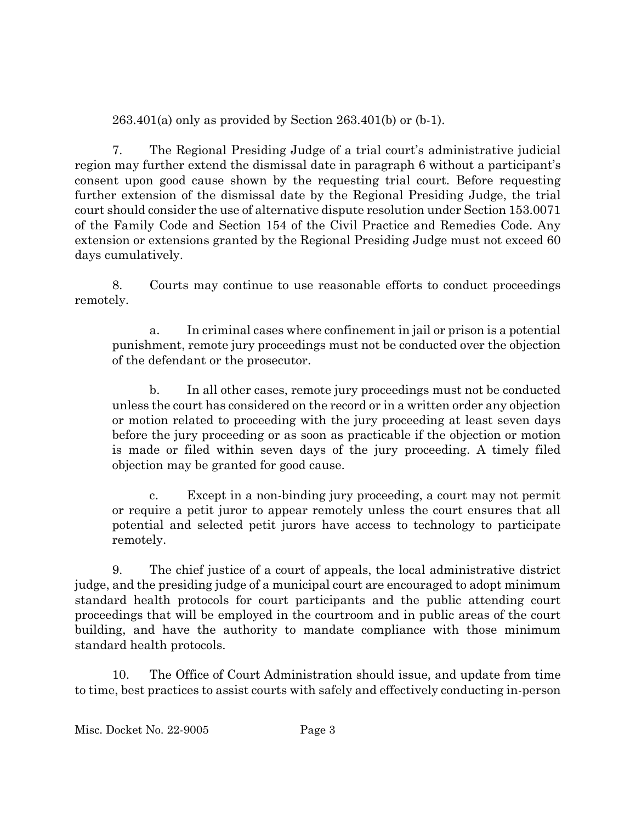263.401(a) only as provided by Section 263.401(b) or (b-1).

7. The Regional Presiding Judge of a trial court's administrative judicial region may further extend the dismissal date in paragraph 6 without a participant's consent upon good cause shown by the requesting trial court. Before requesting further extension of the dismissal date by the Regional Presiding Judge, the trial court should consider the use of alternative dispute resolution under Section 153.0071 of the Family Code and Section 154 of the Civil Practice and Remedies Code. Any extension or extensions granted by the Regional Presiding Judge must not exceed 60 days cumulatively.

8. Courts may continue to use reasonable efforts to conduct proceedings remotely.

a. In criminal cases where confinement in jail or prison is a potential punishment, remote jury proceedings must not be conducted over the objection of the defendant or the prosecutor.

b. In all other cases, remote jury proceedings must not be conducted unless the court has considered on the record or in a written order any objection or motion related to proceeding with the jury proceeding at least seven days before the jury proceeding or as soon as practicable if the objection or motion is made or filed within seven days of the jury proceeding. A timely filed objection may be granted for good cause.

c. Except in a non-binding jury proceeding, a court may not permit or require a petit juror to appear remotely unless the court ensures that all potential and selected petit jurors have access to technology to participate remotely.

9. The chief justice of a court of appeals, the local administrative district judge, and the presiding judge of a municipal court are encouraged to adopt minimum standard health protocols for court participants and the public attending court proceedings that will be employed in the courtroom and in public areas of the court building, and have the authority to mandate compliance with those minimum standard health protocols.

10. The Office of Court Administration should issue, and update from time to time, best practices to assist courts with safely and effectively conducting in-person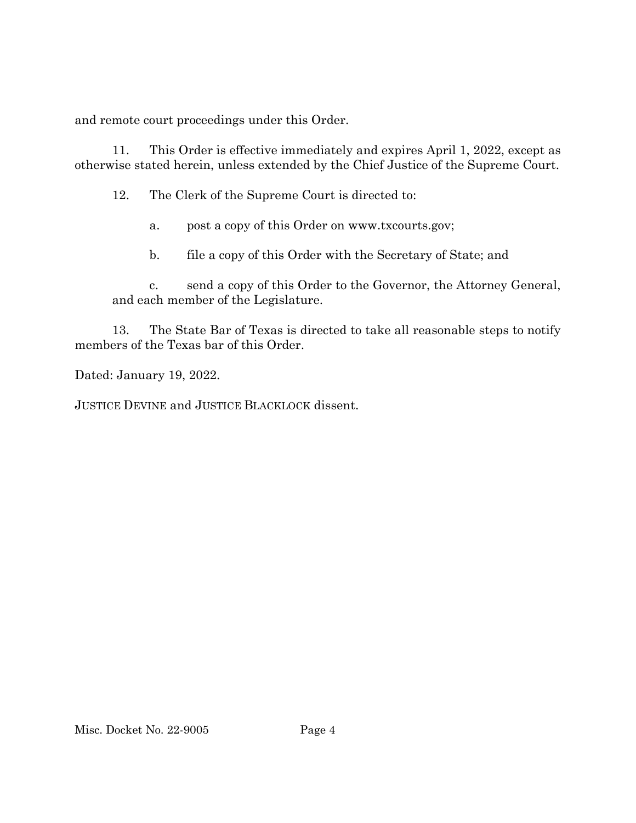and remote court proceedings under this Order.

11. This Order is effective immediately and expires April 1, 2022, except as otherwise stated herein, unless extended by the Chief Justice of the Supreme Court.

12. The Clerk of the Supreme Court is directed to:

- a. post a copy of this Order on www.txcourts.gov;
- b. file a copy of this Order with the Secretary of State; and

c. send a copy of this Order to the Governor, the Attorney General, and each member of the Legislature.

13. The State Bar of Texas is directed to take all reasonable steps to notify members of the Texas bar of this Order.

Dated: January 19, 2022.

JUSTICE DEVINE and JUSTICE BLACKLOCK dissent.